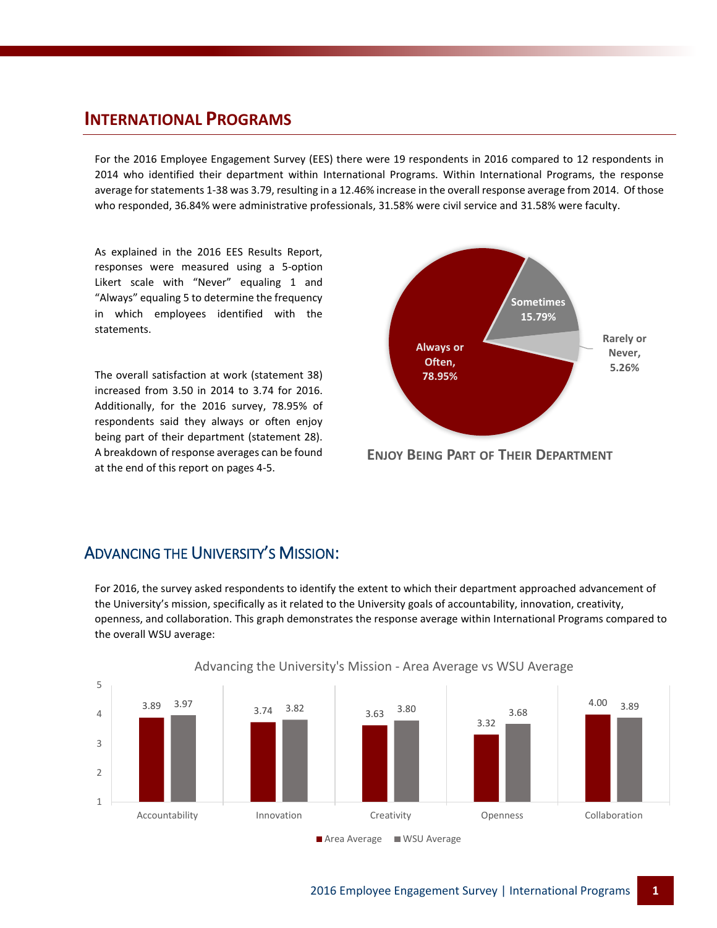#### **INTERNATIONAL PROGRAMS**

For the 2016 Employee Engagement Survey (EES) there were 19 respondents in 2016 compared to 12 respondents in 2014 who identified their department within International Programs. Within International Programs, the response average for statements 1-38 was 3.79, resulting in a 12.46% increase in the overall response average from 2014. Of those who responded, 36.84% were administrative professionals, 31.58% were civil service and 31.58% were faculty.

As explained in the 2016 EES Results Report, responses were measured using a 5-option Likert scale with "Never" equaling 1 and "Always" equaling 5 to determine the frequency in which employees identified with the statements.

The overall satisfaction at work (statement 38) increased from 3.50 in 2014 to 3.74 for 2016. Additionally, for the 2016 survey, 78.95% of respondents said they always or often enjoy being part of their department (statement 28). A breakdown of response averages can be found at the end of this report on pages 4-5.



**ENJOY BEING PART OF THEIR DEPARTMENT**

#### ADVANCING THE UNIVERSITY'S MISSION:

For 2016, the survey asked respondents to identify the extent to which their department approached advancement of the University's mission, specifically as it related to the University goals of accountability, innovation, creativity, openness, and collaboration. This graph demonstrates the response average within International Programs compared to the overall WSU average:



Advancing the University's Mission - Area Average vs WSU Average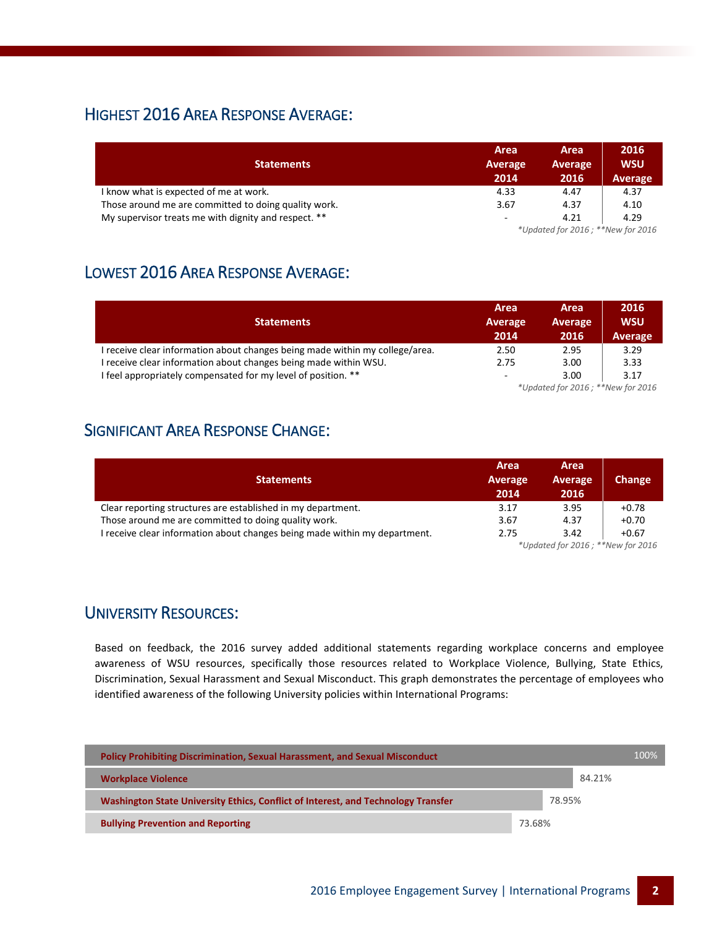## HIGHEST 2016 AREA RESPONSE AVERAGE:

|                                                      | Area                     | Area                              | 2016       |  |  |
|------------------------------------------------------|--------------------------|-----------------------------------|------------|--|--|
| <b>Statements</b>                                    | Average                  | Average                           | <b>WSU</b> |  |  |
|                                                      | 2014                     | 2016                              | Average    |  |  |
| I know what is expected of me at work.               | 4.33                     | 4.47                              | 4.37       |  |  |
| Those around me are committed to doing quality work. | 3.67                     | 4.37                              | 4.10       |  |  |
| My supervisor treats me with dignity and respect. ** | $\overline{\phantom{a}}$ | 4.21                              | 4.29       |  |  |
|                                                      |                          | *Updated for 2016; **New for 2016 |            |  |  |

# LOWEST 2016 AREA RESPONSE AVERAGE:

|                                                                              | Area    | Area                                                 | 2016       |  |
|------------------------------------------------------------------------------|---------|------------------------------------------------------|------------|--|
| <b>Statements</b>                                                            | Average | Average                                              | <b>WSU</b> |  |
|                                                                              | 2014    | 2016                                                 | Average    |  |
| I receive clear information about changes being made within my college/area. | 2.50    | 2.95                                                 | 3.29       |  |
| I receive clear information about changes being made within WSU.             | 2.75    | 3.00                                                 | 3.33       |  |
| I feel appropriately compensated for my level of position. **                | $\sim$  | 3.00                                                 | 3.17       |  |
|                                                                              |         | $*$ llodated for $2016 \cdot$ $*$ $*$ Meurfor $2016$ |            |  |

*\*Updated for 2016 ; \*\*New for 2016*

# SIGNIFICANT AREA RESPONSE CHANGE:

|                                                                          | Area                              | Area            |         |  |
|--------------------------------------------------------------------------|-----------------------------------|-----------------|---------|--|
| <b>Statements</b>                                                        | Average<br>2014                   | Average<br>2016 | Change  |  |
| Clear reporting structures are established in my department.             | 3.17                              | 3.95            | $+0.78$ |  |
| Those around me are committed to doing quality work.                     | 3.67                              | 4.37            | $+0.70$ |  |
| receive clear information about changes being made within my department. | 2.75                              | 3.42            | $+0.67$ |  |
|                                                                          | *Updated for 2016; **New for 2016 |                 |         |  |

#### UNIVERSITY RESOURCES:

Based on feedback, the 2016 survey added additional statements regarding workplace concerns and employee awareness of WSU resources, specifically those resources related to Workplace Violence, Bullying, State Ethics, Discrimination, Sexual Harassment and Sexual Misconduct. This graph demonstrates the percentage of employees who identified awareness of the following University policies within International Programs:

| <b>Policy Prohibiting Discrimination, Sexual Harassment, and Sexual Misconduct</b> |        |        | 100% |
|------------------------------------------------------------------------------------|--------|--------|------|
| <b>Workplace Violence</b>                                                          |        | 84.21% |      |
| Washington State University Ethics, Conflict of Interest, and Technology Transfer  |        | 78.95% |      |
| <b>Bullying Prevention and Reporting</b>                                           | 73.68% |        |      |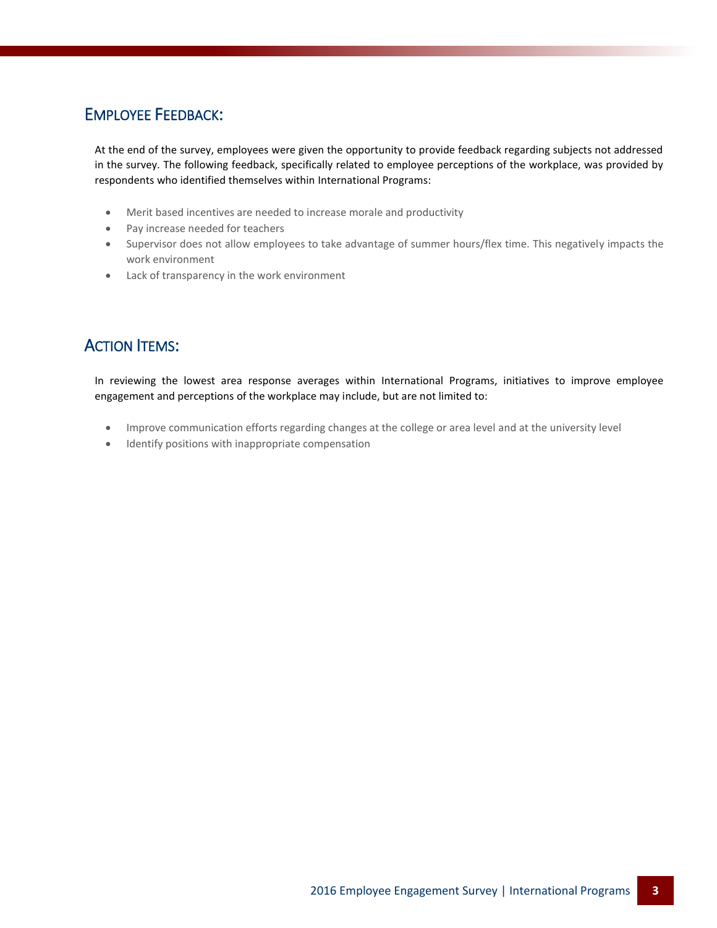### EMPLOYEE FEEDBACK:

At the end of the survey, employees were given the opportunity to provide feedback regarding subjects not addressed in the survey. The following feedback, specifically related to employee perceptions of the workplace, was provided by respondents who identified themselves within International Programs:

- Merit based incentives are needed to increase morale and productivity
- Pay increase needed for teachers
- Supervisor does not allow employees to take advantage of summer hours/flex time. This negatively impacts the work environment
- Lack of transparency in the work environment

# **ACTION ITEMS:**

In reviewing the lowest area response averages within International Programs, initiatives to improve employee engagement and perceptions of the workplace may include, but are not limited to:

- Improve communication efforts regarding changes at the college or area level and at the university level
- Identify positions with inappropriate compensation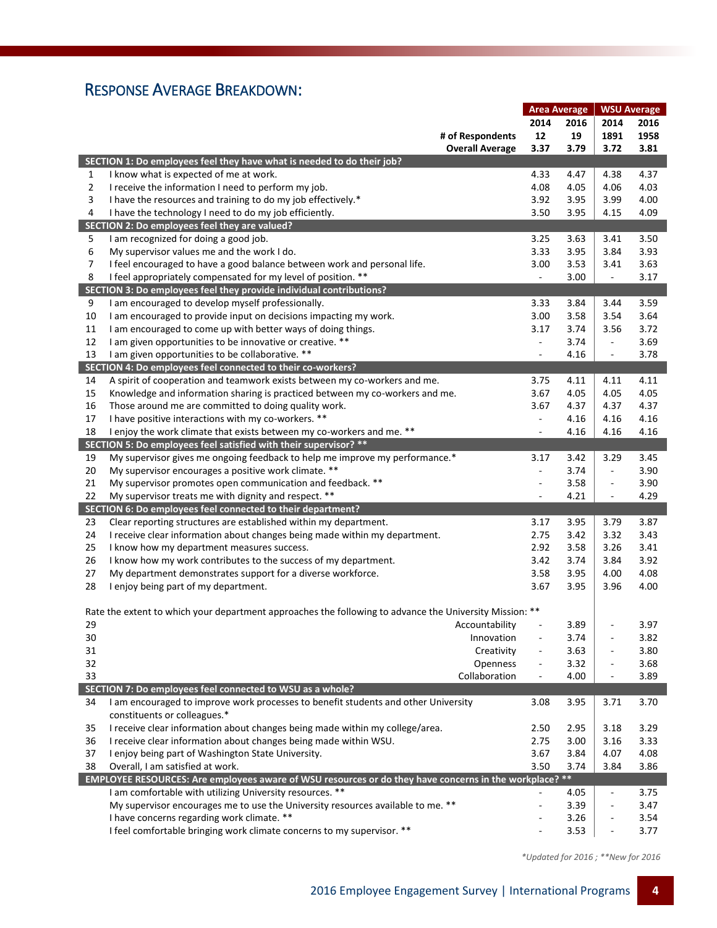# RESPONSE AVERAGE BREAKDOWN:

|                |                                                                                                         | <b>Area Average</b>      |      | <b>WSU Average</b>           |      |
|----------------|---------------------------------------------------------------------------------------------------------|--------------------------|------|------------------------------|------|
|                |                                                                                                         | 2014                     | 2016 | 2014                         | 2016 |
|                | # of Respondents                                                                                        | 12                       | 19   | 1891                         | 1958 |
|                | <b>Overall Average</b>                                                                                  | 3.37                     | 3.79 | 3.72                         | 3.81 |
|                | SECTION 1: Do employees feel they have what is needed to do their job?                                  |                          |      |                              |      |
| 1              | I know what is expected of me at work.                                                                  | 4.33                     | 4.47 | 4.38                         | 4.37 |
| $\overline{2}$ | I receive the information I need to perform my job.                                                     | 4.08                     | 4.05 | 4.06                         | 4.03 |
| 3              | I have the resources and training to do my job effectively.*                                            | 3.92                     | 3.95 | 3.99                         | 4.00 |
| 4              | I have the technology I need to do my job efficiently.                                                  | 3.50                     | 3.95 | 4.15                         | 4.09 |
|                | SECTION 2: Do employees feel they are valued?                                                           |                          |      |                              |      |
| 5              | I am recognized for doing a good job.                                                                   | 3.25                     | 3.63 | 3.41                         | 3.50 |
| 6              | My supervisor values me and the work I do.                                                              | 3.33                     | 3.95 | 3.84                         | 3.93 |
| 7              | I feel encouraged to have a good balance between work and personal life.                                | 3.00                     | 3.53 | 3.41                         | 3.63 |
| 8              | I feel appropriately compensated for my level of position. **                                           | $\overline{\phantom{a}}$ | 3.00 | $\blacksquare$               | 3.17 |
|                | SECTION 3: Do employees feel they provide individual contributions?                                     |                          |      |                              |      |
| 9              | I am encouraged to develop myself professionally.                                                       | 3.33                     | 3.84 | 3.44                         | 3.59 |
| 10             | I am encouraged to provide input on decisions impacting my work.                                        | 3.00                     | 3.58 | 3.54                         | 3.64 |
| 11             | I am encouraged to come up with better ways of doing things.                                            | 3.17                     | 3.74 | 3.56                         | 3.72 |
| 12             | I am given opportunities to be innovative or creative. **                                               | $\overline{\phantom{a}}$ | 3.74 | $\blacksquare$               | 3.69 |
| 13             | I am given opportunities to be collaborative. **                                                        | $\overline{\phantom{a}}$ | 4.16 | $\blacksquare$               | 3.78 |
|                | SECTION 4: Do employees feel connected to their co-workers?                                             |                          |      |                              |      |
| 14             | A spirit of cooperation and teamwork exists between my co-workers and me.                               | 3.75                     | 4.11 | 4.11                         | 4.11 |
| 15             | Knowledge and information sharing is practiced between my co-workers and me.                            | 3.67                     | 4.05 | 4.05                         | 4.05 |
| 16             | Those around me are committed to doing quality work.                                                    | 3.67                     | 4.37 | 4.37                         | 4.37 |
| 17             | I have positive interactions with my co-workers. **                                                     | $\overline{\phantom{a}}$ | 4.16 | 4.16                         | 4.16 |
| 18             | I enjoy the work climate that exists between my co-workers and me. **                                   | ÷,                       | 4.16 | 4.16                         | 4.16 |
|                | SECTION 5: Do employees feel satisfied with their supervisor? **                                        |                          |      |                              |      |
| 19             | My supervisor gives me ongoing feedback to help me improve my performance.*                             | 3.17                     | 3.42 | 3.29                         | 3.45 |
| 20             | My supervisor encourages a positive work climate. **                                                    | $\overline{\phantom{a}}$ | 3.74 | $\blacksquare$               | 3.90 |
| 21             | My supervisor promotes open communication and feedback. **                                              | ÷,                       | 3.58 | $\blacksquare$               | 3.90 |
| 22             | My supervisor treats me with dignity and respect. **                                                    | ÷,                       | 4.21 | $\overline{\phantom{a}}$     | 4.29 |
|                | SECTION 6: Do employees feel connected to their department?                                             |                          |      |                              |      |
| 23             | Clear reporting structures are established within my department.                                        | 3.17                     | 3.95 | 3.79                         | 3.87 |
| 24             | I receive clear information about changes being made within my department.                              | 2.75                     | 3.42 | 3.32                         | 3.43 |
| 25             | I know how my department measures success.                                                              | 2.92                     | 3.58 | 3.26                         | 3.41 |
| 26             | I know how my work contributes to the success of my department.                                         | 3.42                     | 3.74 | 3.84                         | 3.92 |
| 27             | My department demonstrates support for a diverse workforce.                                             | 3.58                     | 3.95 | 4.00                         | 4.08 |
| 28             | I enjoy being part of my department.                                                                    | 3.67                     | 3.95 | 3.96                         | 4.00 |
|                | Rate the extent to which your department approaches the following to advance the University Mission: ** |                          |      |                              |      |
| 29             | Accountability                                                                                          |                          | 3.89 |                              | 3.97 |
| 30             | Innovation                                                                                              |                          | 3.74 | $\overline{a}$               | 3.82 |
| 31             | Creativity                                                                                              |                          | 3.63 | ÷,                           | 3.80 |
| 32             | Openness                                                                                                | $\overline{\phantom{a}}$ | 3.32 | $\overline{a}$               | 3.68 |
| 33             | Collaboration                                                                                           | $\overline{\phantom{a}}$ | 4.00 | $\overline{\phantom{0}}$     | 3.89 |
|                | SECTION 7: Do employees feel connected to WSU as a whole?                                               |                          |      |                              |      |
| 34             | I am encouraged to improve work processes to benefit students and other University                      | 3.08                     | 3.95 | 3.71                         | 3.70 |
|                | constituents or colleagues.*                                                                            |                          |      |                              |      |
| 35             | I receive clear information about changes being made within my college/area.                            | 2.50                     | 2.95 | 3.18                         | 3.29 |
| 36             | I receive clear information about changes being made within WSU.                                        | 2.75                     | 3.00 | 3.16                         | 3.33 |
| 37             | I enjoy being part of Washington State University.                                                      | 3.67                     | 3.84 | 4.07                         | 4.08 |
| 38             | Overall, I am satisfied at work.                                                                        | 3.50                     | 3.74 | 3.84                         | 3.86 |
|                | EMPLOYEE RESOURCES: Are employees aware of WSU resources or do they have concerns in the workplace? **  |                          |      |                              |      |
|                | I am comfortable with utilizing University resources. **                                                |                          | 4.05 | $\blacksquare$               | 3.75 |
|                | My supervisor encourages me to use the University resources available to me. **                         | ä,                       | 3.39 | $\overline{a}$               | 3.47 |
|                | I have concerns regarding work climate. **                                                              |                          | 3.26 | $\qquad \qquad \blacksquare$ | 3.54 |
|                | I feel comfortable bringing work climate concerns to my supervisor. **                                  |                          | 3.53 | $\overline{\phantom{0}}$     | 3.77 |

 *\*Updated for 2016 ; \*\*New for 2016*